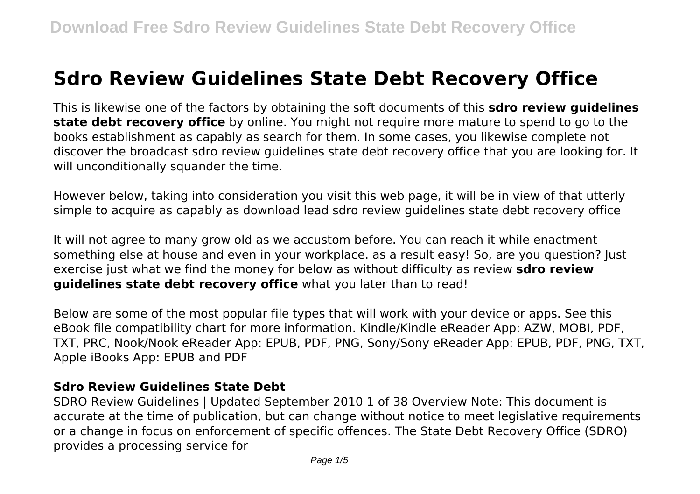# **Sdro Review Guidelines State Debt Recovery Office**

This is likewise one of the factors by obtaining the soft documents of this **sdro review guidelines state debt recovery office** by online. You might not require more mature to spend to go to the books establishment as capably as search for them. In some cases, you likewise complete not discover the broadcast sdro review guidelines state debt recovery office that you are looking for. It will unconditionally squander the time.

However below, taking into consideration you visit this web page, it will be in view of that utterly simple to acquire as capably as download lead sdro review guidelines state debt recovery office

It will not agree to many grow old as we accustom before. You can reach it while enactment something else at house and even in your workplace. as a result easy! So, are you question? Just exercise just what we find the money for below as without difficulty as review **sdro review guidelines state debt recovery office** what you later than to read!

Below are some of the most popular file types that will work with your device or apps. See this eBook file compatibility chart for more information. Kindle/Kindle eReader App: AZW, MOBI, PDF, TXT, PRC, Nook/Nook eReader App: EPUB, PDF, PNG, Sony/Sony eReader App: EPUB, PDF, PNG, TXT, Apple iBooks App: EPUB and PDF

#### **Sdro Review Guidelines State Debt**

SDRO Review Guidelines | Updated September 2010 1 of 38 Overview Note: This document is accurate at the time of publication, but can change without notice to meet legislative requirements or a change in focus on enforcement of specific offences. The State Debt Recovery Office (SDRO) provides a processing service for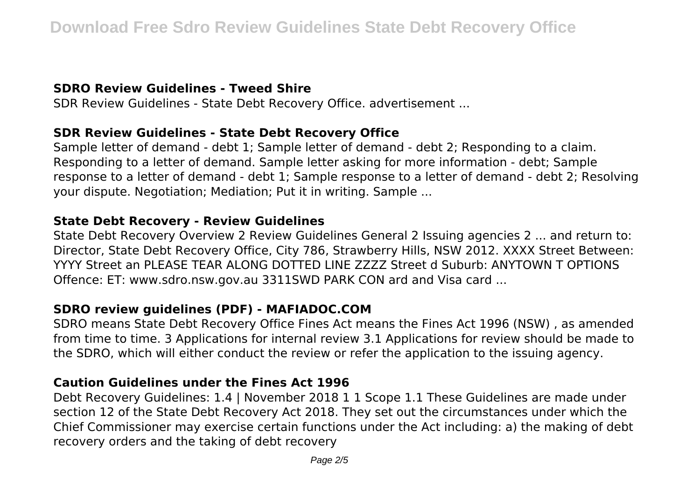## **SDRO Review Guidelines - Tweed Shire**

SDR Review Guidelines - State Debt Recovery Office. advertisement ...

#### **SDR Review Guidelines - State Debt Recovery Office**

Sample letter of demand - debt 1; Sample letter of demand - debt 2; Responding to a claim. Responding to a letter of demand. Sample letter asking for more information - debt; Sample response to a letter of demand - debt 1; Sample response to a letter of demand - debt 2; Resolving your dispute. Negotiation; Mediation; Put it in writing. Sample ...

#### **State Debt Recovery - Review Guidelines**

State Debt Recovery Overview 2 Review Guidelines General 2 Issuing agencies 2 ... and return to: Director, State Debt Recovery Office, City 786, Strawberry Hills, NSW 2012. XXXX Street Between: YYYY Street an PLEASE TEAR ALONG DOTTED LINE ZZZZ Street d Suburb: ANYTOWN T OPTIONS Offence: ET: www.sdro.nsw.gov.au 3311SWD PARK CON ard and Visa card ...

## **SDRO review guidelines (PDF) - MAFIADOC.COM**

SDRO means State Debt Recovery Office Fines Act means the Fines Act 1996 (NSW) , as amended from time to time. 3 Applications for internal review 3.1 Applications for review should be made to the SDRO, which will either conduct the review or refer the application to the issuing agency.

## **Caution Guidelines under the Fines Act 1996**

Debt Recovery Guidelines: 1.4 | November 2018 1 1 Scope 1.1 These Guidelines are made under section 12 of the State Debt Recovery Act 2018. They set out the circumstances under which the Chief Commissioner may exercise certain functions under the Act including: a) the making of debt recovery orders and the taking of debt recovery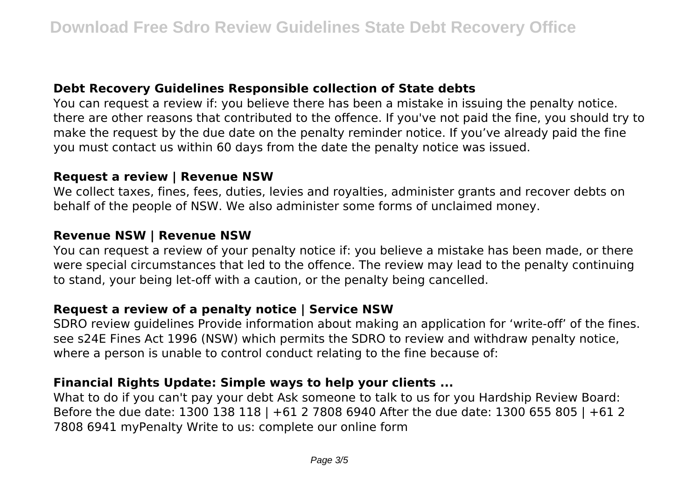#### **Debt Recovery Guidelines Responsible collection of State debts**

You can request a review if: you believe there has been a mistake in issuing the penalty notice. there are other reasons that contributed to the offence. If you've not paid the fine, you should try to make the request by the due date on the penalty reminder notice. If you've already paid the fine you must contact us within 60 days from the date the penalty notice was issued.

#### **Request a review | Revenue NSW**

We collect taxes, fines, fees, duties, levies and royalties, administer grants and recover debts on behalf of the people of NSW. We also administer some forms of unclaimed money.

#### **Revenue NSW | Revenue NSW**

You can request a review of your penalty notice if: you believe a mistake has been made, or there were special circumstances that led to the offence. The review may lead to the penalty continuing to stand, your being let-off with a caution, or the penalty being cancelled.

## **Request a review of a penalty notice | Service NSW**

SDRO review guidelines Provide information about making an application for 'write-off' of the fines. see s24E Fines Act 1996 (NSW) which permits the SDRO to review and withdraw penalty notice, where a person is unable to control conduct relating to the fine because of:

## **Financial Rights Update: Simple ways to help your clients ...**

What to do if you can't pay your debt Ask someone to talk to us for you Hardship Review Board: Before the due date: 1300 138 118 | +61 2 7808 6940 After the due date: 1300 655 805 | +61 2 7808 6941 myPenalty Write to us: complete our online form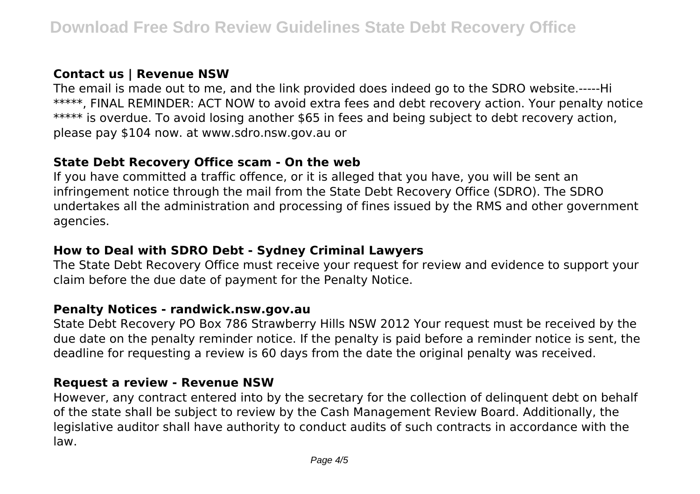#### **Contact us | Revenue NSW**

The email is made out to me, and the link provided does indeed go to the SDRO website.-----Hi \*\*\*\*\*, FINAL REMINDER: ACT NOW to avoid extra fees and debt recovery action. Your penalty notice \*\*\*\*\* is overdue. To avoid losing another \$65 in fees and being subject to debt recovery action, please pay \$104 now. at www.sdro.nsw.gov.au or

#### **State Debt Recovery Office scam - On the web**

If you have committed a traffic offence, or it is alleged that you have, you will be sent an infringement notice through the mail from the State Debt Recovery Office (SDRO). The SDRO undertakes all the administration and processing of fines issued by the RMS and other government agencies.

## **How to Deal with SDRO Debt - Sydney Criminal Lawyers**

The State Debt Recovery Office must receive your request for review and evidence to support your claim before the due date of payment for the Penalty Notice.

#### **Penalty Notices - randwick.nsw.gov.au**

State Debt Recovery PO Box 786 Strawberry Hills NSW 2012 Your request must be received by the due date on the penalty reminder notice. If the penalty is paid before a reminder notice is sent, the deadline for requesting a review is 60 days from the date the original penalty was received.

#### **Request a review - Revenue NSW**

However, any contract entered into by the secretary for the collection of delinquent debt on behalf of the state shall be subject to review by the Cash Management Review Board. Additionally, the legislative auditor shall have authority to conduct audits of such contracts in accordance with the law.